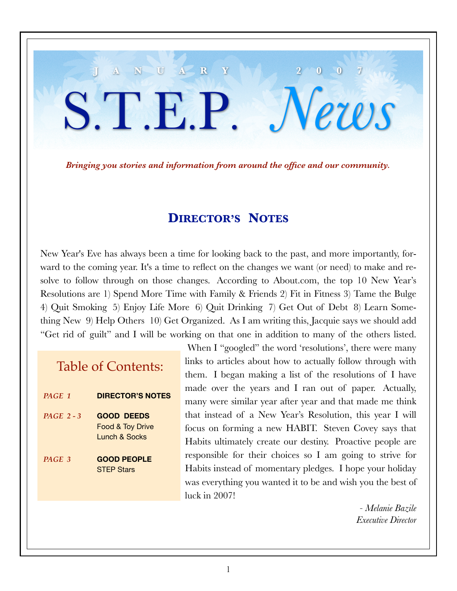### *Bringing you stories and information from around the office and our community.*

**J A N U A R Y 2 0 0 7**

S.T.E.P. *News*

### **DIRECTOR'S NOTES**

New Year's Eve has always been a time for looking back to the past, and more importantly, forward to the coming year. It's a time to reflect on the changes we want (or need) to make and resolve to follow through on those changes. According to About.com, the top 10 New Year's Resolutions are 1) Spend More Time with Family & Friends 2) Fit in Fitness 3) Tame the Bulge 4) Quit Smoking 5) Enjoy Life More 6) Quit Drinking 7) Get Out of Debt 8) Learn Something New 9) Help Others 10) Get Organized. As I am writing this, Jacquie says we should add "Get rid of guilt" and I will be working on that one in addition to many of the others listed.

## Table of Contents:

- *PAGE 1* **DIRECTOR'S NOTES**
- *PAGE 2 3* **GOOD DEEDS** Food & Toy Drive Lunch & Socks
- *PAGE 3* **GOOD PEOPLE STEP Stars**

When I "googled" the word 'resolutions', there were many links to articles about how to actually follow through with them. I began making a list of the resolutions of I have made over the years and I ran out of paper. Actually, many were similar year after year and that made me think that instead of a New Year's Resolution, this year I will focus on forming a new HABIT. Steven Covey says that Habits ultimately create our destiny. Proactive people are responsible for their choices so I am going to strive for Habits instead of momentary pledges. I hope your holiday was everything you wanted it to be and wish you the best of luck in 2007!

> *- Melanie Bazile Executive Director*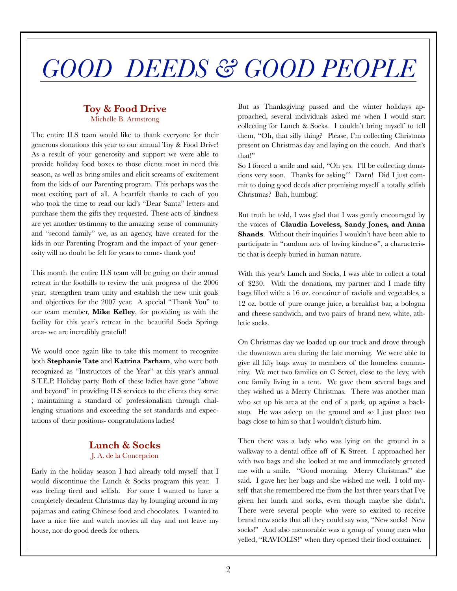# *GOOD DEEDS & GOOD PEOPLE*

### **Toy & Food Drive** Michelle B. Armstrong

The entire ILS team would like to thank everyone for their generous donations this year to our annual Toy & Food Drive! As a result of your generosity and support we were able to provide holiday food boxes to those clients most in need this season, as well as bring smiles and elicit screams of excitement from the kids of our Parenting program. This perhaps was the most exciting part of all. A heartfelt thanks to each of you who took the time to read our kid's "Dear Santa" letters and purchase them the gifts they requested. These acts of kindness are yet another testimony to the amazing sense of community and "second family" we, as an agency, have created for the kids in our Parenting Program and the impact of your generosity will no doubt be felt for years to come- thank you!

This month the entire ILS team will be going on their annual retreat in the foothills to review the unit progress of the 2006 year; strengthen team unity and establish the new unit goals and objectives for the 2007 year. A special "Thank You" to our team member, **Mike Kelley**, for providing us with the facility for this year's retreat in the beautiful Soda Springs area- we are incredibly grateful!

We would once again like to take this moment to recognize both **Stephanie Tate** and **Katrina Parham**, who were both recognized as "Instructors of the Year" at this year's annual S.T.E.P. Holiday party. Both of these ladies have gone "above and beyond" in providing ILS services to the clients they serve ; maintaining a standard of professionalism through challenging situations and exceeding the set standards and expectations of their positions- congratulations ladies!

### **Lunch & Socks**

### J. A. de la Concepcion

Early in the holiday season I had already told myself that I would discontinue the Lunch & Socks program this year. I was feeling tired and selfish. For once I wanted to have a completely decadent Christmas day by lounging around in my pajamas and eating Chinese food and chocolates. I wanted to have a nice fire and watch movies all day and not leave my house, nor do good deeds for others.

But as Thanksgiving passed and the winter holidays approached, several individuals asked me when I would start collecting for Lunch & Socks. I couldn't bring myself to tell them, "Oh, that silly thing? Please, I'm collecting Christmas present on Christmas day and laying on the couch. And that's that!"

So I forced a smile and said, "Oh yes. I'll be collecting donations very soon. Thanks for asking!" Darn! Did I just commit to doing good deeds after promising myself a totally selfish Christmas? Bah, humbug!

But truth be told, I was glad that I was gently encouraged by the voices of **Claudia Loveless, Sandy Jones, and Anna Shands**. Without their inquiries I wouldn't have been able to participate in "random acts of loving kindness", a characteristic that is deeply buried in human nature.

With this year's Lunch and Socks, I was able to collect a total of \$230. With the donations, my partner and I made fifty bags filled with: a 16 oz. container of raviolis and vegetables, a 12 oz. bottle of pure orange juice, a breakfast bar, a bologna and cheese sandwich, and two pairs of brand new, white, athletic socks.

On Christmas day we loaded up our truck and drove through the downtown area during the late morning. We were able to give all fifty bags away to members of the homeless community. We met two families on C Street, close to the levy, with one family living in a tent. We gave them several bags and they wished us a Merry Christmas. There was another man who set up his area at the end of a park, up against a backstop. He was asleep on the ground and so I just place two bags close to him so that I wouldn't disturb him.

Then there was a lady who was lying on the ground in a walkway to a dental office off of K Street. I approached her with two bags and she looked at me and immediately greeted me with a smile. "Good morning. Merry Christmas!" she said. I gave her her bags and she wished me well. I told myself that she remembered me from the last three years that I've given her lunch and socks, even though maybe she didn't. There were several people who were so excited to receive brand new socks that all they could say was, "New socks! New socks!" And also memorable was a group of young men who yelled, "RAVIOLIS!" when they opened their food container.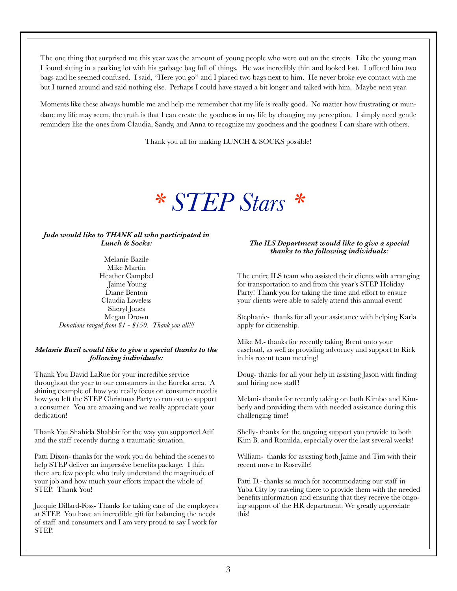The one thing that surprised me this year was the amount of young people who were out on the streets. Like the young man I found sitting in a parking lot with his garbage bag full of things. He was incredibly thin and looked lost. I offered him two bags and he seemed confused. I said, "Here you go" and I placed two bags next to him. He never broke eye contact with me but I turned around and said nothing else. Perhaps I could have stayed a bit longer and talked with him. Maybe next year.

Moments like these always humble me and help me remember that my life is really good. No matter how frustrating or mundane my life may seem, the truth is that I can create the goodness in my life by changing my perception. I simply need gentle reminders like the ones from Claudia, Sandy, and Anna to recognize my goodness and the goodness I can share with others.

Thank you all for making LUNCH & SOCKS possible!

# *\* STEP Stars \**

#### *Jude would like to THANK all who participated in Lunch & Socks:*

Melanie Bazile Mike Martin Heather Campbel Jaime Young Diane Benton Claudia Loveless Sheryl Jones Megan Drown *Donations ranged from \$1 - \$150. Thank you all!!!*

### *Melanie Bazil would like to give a special thanks to the following individuals:*

Thank You David LaRue for your incredible service throughout the year to our consumers in the Eureka area. A shining example of how you really focus on consumer need is how you left the STEP Christmas Party to run out to support a consumer. You are amazing and we really appreciate your dedication!

Thank You Shahida Shabbir for the way you supported Atif and the staff recently during a traumatic situation.

Patti Dixon- thanks for the work you do behind the scenes to help STEP deliver an impressive benefits package. I thin there are few people who truly understand the magnitude of your job and how much your efforts impact the whole of STEP. Thank You!

Jacquie Dillard-Foss- Thanks for taking care of the employees at STEP. You have an incredible gift for balancing the needs of staff and consumers and I am very proud to say I work for STEP.

#### *The ILS Department would like to give a special thanks to the following individuals:*

The entire ILS team who assisted their clients with arranging for transportation to and from this year's STEP Holiday Party! Thank you for taking the time and effort to ensure your clients were able to safely attend this annual event!

Stephanie- thanks for all your assistance with helping Karla apply for citizenship.

Mike M.- thanks for recently taking Brent onto your caseload, as well as providing advocacy and support to Rick in his recent team meeting!

Doug- thanks for all your help in assisting Jason with finding and hiring new staff!

Melani- thanks for recently taking on both Kimbo and Kimberly and providing them with needed assistance during this challenging time!

Shelly- thanks for the ongoing support you provide to both Kim B. and Romilda, especially over the last several weeks!

William- thanks for assisting both Jaime and Tim with their recent move to Roseville!

Patti D.- thanks so much for accommodating our staff in Yuba City by traveling there to provide them with the needed benefits information and ensuring that they receive the ongoing support of the HR department. We greatly appreciate this!